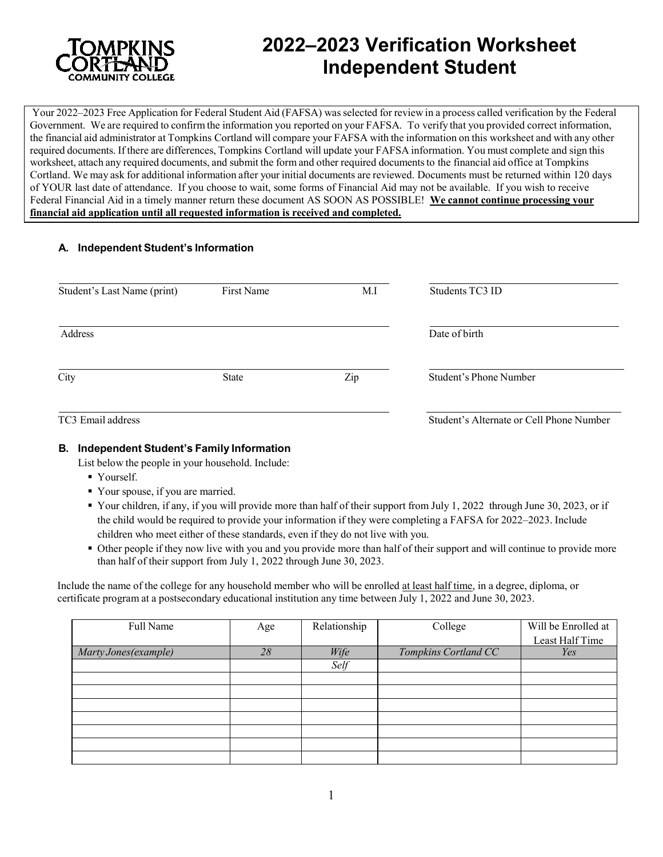

ֺ֝֡

# **2022–2023 Verification Worksheet Independent Student**

Your 2022–2023 Free Application for Federal Student Aid (FAFSA) wasselected for review in a process called verification by the Federal Government. We are required to confirm the information you reported on your FAFSA. To verify that you provided correct information, the financial aid administrator at Tompkins Cortland will compare your FAFSA with the information on this worksheet and with any other required documents. If there are differences, Tompkins Cortland will update your FAFSA information. You must complete and sign this worksheet, attach any required documents, and submit the form and other required documentsto the financial aid office at Tompkins Cortland. We may ask for additional information after your initial documents are reviewed. Documents must be returned within 120 days of YOUR last date of attendance. If you choose to wait, some forms of Financial Aid may not be available. If you wish to receive Federal Financial Aid in a timely manner return these document AS SOON AS POSSIBLE! **We cannot continue processing your financial aid application until all requested information is received and completed.**

## **A. Independent Student's Information**

| Student's Last Name (print) | First Name   | M.I | Students TC3 ID                          |
|-----------------------------|--------------|-----|------------------------------------------|
| Address                     |              |     | Date of birth                            |
| City                        | <b>State</b> | Zip | Student's Phone Number                   |
| TC3 Email address           |              |     | Student's Alternate or Cell Phone Number |

### **B. Independent Student's Family Information**

List below the people in your household. Include:

- Yourself.
- Your spouse, if you are married.
- Your children, if any, if you will provide more than half of their support from July 1, 2022 through June 30, 2023, or if the child would be required to provide your information if they were completing a FAFSA for 2022–2023. Include children who meet either of these standards, even if they do not live with you.
- Other people if they now live with you and you provide more than half of their support and will continue to provide more than half of their support from July 1, 2022 through June 30, 2023.

Include the name of the college for any household member who will be enrolled at least half time, in a degree, diploma, or certificate program at a postsecondary educational institution any time between July 1, 2022 and June 30, 2023.

| Full Name             | Age | Relationship | College              | Will be Enrolled at |
|-----------------------|-----|--------------|----------------------|---------------------|
|                       |     |              |                      | Least Half Time     |
| Marty Jones (example) | 28  | Wife         | Tompkins Cortland CC | Yes                 |
|                       |     | Self         |                      |                     |
|                       |     |              |                      |                     |
|                       |     |              |                      |                     |
|                       |     |              |                      |                     |
|                       |     |              |                      |                     |
|                       |     |              |                      |                     |
|                       |     |              |                      |                     |
|                       |     |              |                      |                     |